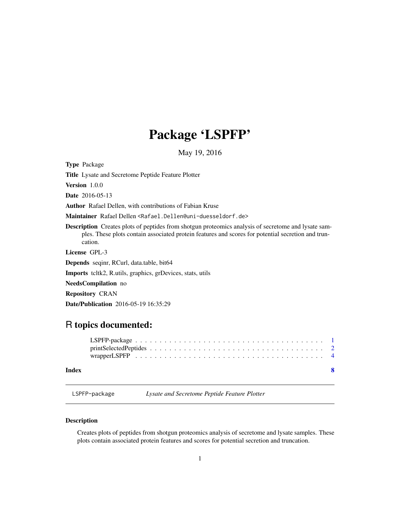## Package 'LSPFP'

May 19, 2016

<span id="page-0-0"></span>Type Package Title Lysate and Secretome Peptide Feature Plotter Version 1.0.0 Date 2016-05-13 Author Rafael Dellen, with contributions of Fabian Kruse Maintainer Rafael Dellen <Rafael.Dellen@uni-duesseldorf.de> Description Creates plots of peptides from shotgun proteomics analysis of secretome and lysate samples. These plots contain associated protein features and scores for potential secretion and truncation. License GPL-3 Depends seqinr, RCurl, data.table, bit64 Imports tcltk2, R.utils, graphics, grDevices, stats, utils NeedsCompilation no Repository CRAN Date/Publication 2016-05-19 16:35:29

### R topics documented:

#### **Index** [8](#page-7-0) **8**

LSPFP-package *Lysate and Secretome Peptide Feature Plotter*

#### Description

Creates plots of peptides from shotgun proteomics analysis of secretome and lysate samples. These plots contain associated protein features and scores for potential secretion and truncation.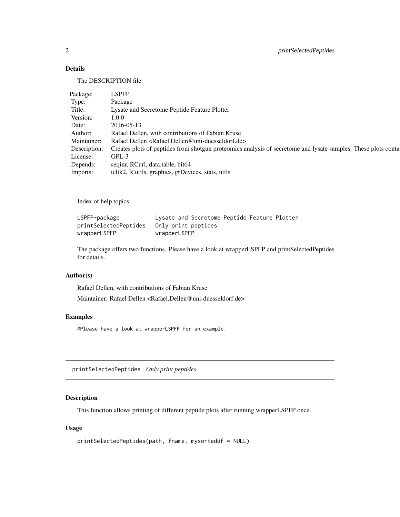#### Details

The DESCRIPTION file:

| <b>LSPFP</b>                                                                                                  |
|---------------------------------------------------------------------------------------------------------------|
| Package                                                                                                       |
| Lysate and Secretome Peptide Feature Plotter                                                                  |
| 1.0.0                                                                                                         |
| 2016-05-13                                                                                                    |
| Rafael Dellen, with contributions of Fabian Kruse                                                             |
| Rafael Dellen <rafael.dellen@uni-duesseldorf.de></rafael.dellen@uni-duesseldorf.de>                           |
| Creates plots of peptides from shotgun proteomics analysis of secretome and lysate samples. These plots conta |
| $GPL-3$                                                                                                       |
| seqinr, RCurl, data.table, bit64                                                                              |
| tcltk2, R.utils, graphics, grDevices, stats, utils                                                            |
|                                                                                                               |

Index of help topics:

| LSPFP-package         | Lysate and Secretome Peptide Feature Plotter |
|-----------------------|----------------------------------------------|
| printSelectedPeptides | Only print peptides                          |
| wrapperLSPFP          | wrapperLSPFP                                 |

The package offers two functions. Please have a look at wrapperLSPFP and printSelectedPeptides for details.

#### Author(s)

Rafael Dellen, with contributions of Fabian Kruse

Maintainer: Rafael Dellen <Rafael.Dellen@uni-duesseldorf.de>

#### Examples

#Please have a look at wrapperLSPFP for an example.

printSelectedPeptides *Only print peptides*

#### Description

This function allows printing of different peptide plots after running wrapperLSPFP once.

#### Usage

```
printSelectedPeptides(path, fname, mysorteddf = NULL)
```
<span id="page-1-0"></span>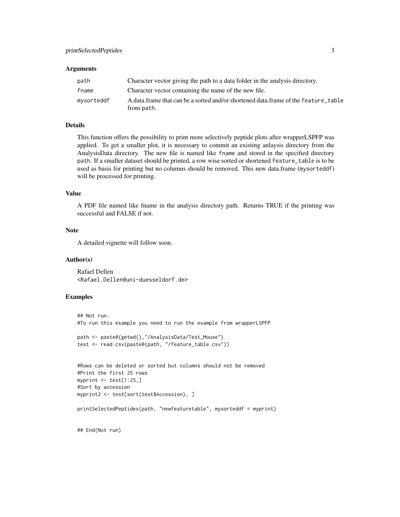#### **Arguments**

| path       | Character vector giving the path to a data folder in the analysis directory.                     |
|------------|--------------------------------------------------------------------------------------------------|
| fname      | Character vector containing the name of the new file.                                            |
| mysorteddf | A data frame that can be a sorted and/or shortened data frame of the feature table<br>from path. |

#### Details

This function offers the possibility to print more selectively peptide plots after wrapperLSPFP was applied. To get a smaller plot, it is necessary to commit an existing anlaysis directory from the AnalysisData directory. The new file is named like fname and stored in the specified directory path. If a smaller dataset should be printed, a row wise sorted or shortened feature\_table is to be used as basis for printing but no columns should be removed. This new data.frame (mysorteddf) will be processed for printing.

#### Value

A PDF file named like fname in the analysis directory path. Returns TRUE if the printing was successful and FALSE if not.

#### Note

A detailed vignette will follow soon.

#### Author(s)

Rafael Dellen <Rafael.Dellen@uni-duesseldorf.de>

#### Examples

```
## Not run:
#To run this example you need to run the example from wrapperLSPFP
path <- paste0(getwd(),"/AnalysisData/Test_Mouse")
test <- read.csv(paste0(path, "/feature_table.csv"))
```

```
#Rows can be deleted or sorted but columns should not be removed
#Print the first 25 rows
myprint <- test[1:25,]
#Sort by accession
myprint2 <- test[sort(test$Accession), ]
```
printSelectedPeptides(path, "newfeaturetable", mysorteddf = myprint)

## End(Not run)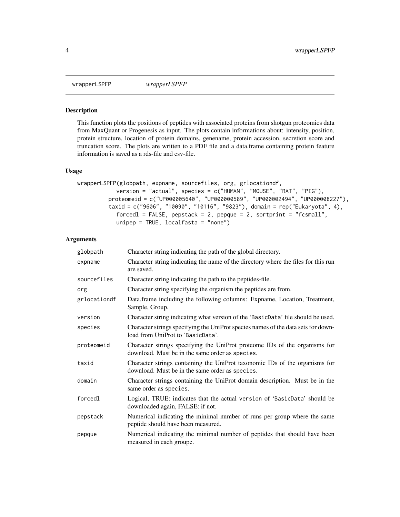<span id="page-3-0"></span>wrapperLSPFP *wrapperLSPFP*

#### Description

This function plots the positions of peptides with associated proteins from shotgun proteomics data from MaxQuant or Progenesis as input. The plots contain informations about: intensity, position, protein structure, location of protein domains, genename, protein accession, secretion score and truncation score. The plots are written to a PDF file and a data.frame containing protein feature information is saved as a rds-file and csv-file.

#### Usage

```
wrapperLSPFP(globpath, expname, sourcefiles, org, grlocationdf,
            version = "actual", species = c("HUMAN", "MOUSE", "RAT", "PIG"),
         proteomeid = c("UP000005640", "UP000000589", "UP000002494", "UP000008227"),
         taxid = c("9606", "10090", "10116", "9823"), domain = rep("Eukaryota", 4),
            forcedl = FALSE, pepstack = 2, pepque = 2, sortprint = "fcsmall",
            unipep = TRUE, localfasta = "none")
```
#### **Arguments**

| globpath     | Character string indicating the path of the global directory.                                                                  |
|--------------|--------------------------------------------------------------------------------------------------------------------------------|
| expname      | Character string indicating the name of the directory where the files for this run<br>are saved.                               |
| sourcefiles  | Character string indicating the path to the peptides-file.                                                                     |
| org          | Character string specifying the organism the peptides are from.                                                                |
| grlocationdf | Data.frame including the following columns: Expname, Location, Treatment,<br>Sample, Group.                                    |
| version      | Character string indicating what version of the 'BasicData' file should be used.                                               |
| species      | Character strings specifying the UniProt species names of the data sets for down-<br>load from UniProt to 'BasicData'.         |
| proteomeid   | Character strings specifying the UniProt proteome IDs of the organisms for<br>download. Must be in the same order as species.  |
| taxid        | Character strings containing the UniProt taxonomic IDs of the organisms for<br>download. Must be in the same order as species. |
| domain       | Character strings containing the UniProt domain description. Must be in the<br>same order as species.                          |
| forcedl      | Logical, TRUE: indicates that the actual version of 'BasicData' should be<br>downloaded again, FALSE: if not.                  |
| pepstack     | Numerical indicating the minimal number of runs per group where the same<br>peptide should have been measured.                 |
| pepque       | Numerical indicating the minimal number of peptides that should have been<br>measured in each groupe.                          |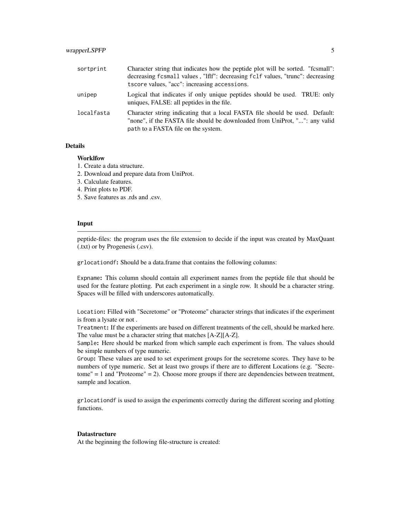| sortprint  | Character string that indicates how the peptide plot will be sorted. "fcsmall":<br>decreasing fcsmall values, "lflf": decreasing fclf values, "trunc": decreasing<br>tscore values, "acc": increasing accessions. |
|------------|-------------------------------------------------------------------------------------------------------------------------------------------------------------------------------------------------------------------|
| unipep     | Logical that indicates if only unique peptides should be used. TRUE: only<br>uniques, FALSE: all peptides in the file.                                                                                            |
| localfasta | Character string indicating that a local FASTA file should be used. Default:<br>"none", if the FASTA file should be downloaded from UniProt, "": any valid<br>path to a FASTA file on the system.                 |

#### Details

#### **Worklfow**

- 1. Create a data structure.
- 2. Download and prepare data from UniProt.

———————————————————

- 3. Calculate features.
- 4. Print plots to PDF.
- 5. Save features as .rds and .csv.

#### Input

peptide-files: the program uses the file extension to decide if the input was created by MaxQuant (.txt) or by Progenesis (.csv).

grlocationdf: Should be a data.frame that contains the following columns:

Expname: This column should contain all experiment names from the peptide file that should be used for the feature plotting. Put each experiment in a single row. It should be a character string. Spaces will be filled with underscores automatically.

Location: Filled with "Secretome" or "Proteome" character strings that indicates if the experiment is from a lysate or not .

Treatment: If the experiments are based on different treatments of the cell, should be marked here. The value must be a character string that matches [A-Z][A-Z].

Sample: Here should be marked from which sample each experiment is from. The values should be simple numbers of type numeric.

Group: These values are used to set experiment groups for the secretome scores. They have to be numbers of type numeric. Set at least two groups if there are to different Locations (e.g. "Secretome" = 1 and "Proteome" = 2). Choose more groups if there are dependencies between treatment, sample and location.

grlocationdf is used to assign the experiments correctly during the different scoring and plotting functions.

#### **Datastructure**

At the beginning the following file-structure is created: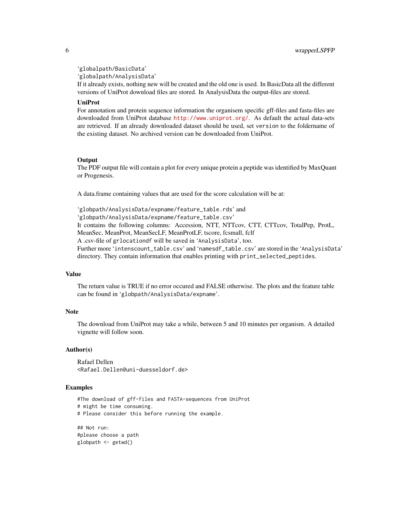'globalpath/BasicData'

'globalpath/AnalysisData'

If it already exists, nothing new will be created and the old one is used. In BasicData all the different versions of UniProt download files are stored. In AnalysisData the output-files are stored.

#### UniProt

For annotation and protein sequence information the organisem specific gff-files and fasta-files are downloaded from UniProt database <http://www.uniprot.org/>. As default the actual data-sets are retrieved. If an already downloaded dataset should be used, set version to the foldername of the existing dataset. No archived version can be downloaded from UniProt.

#### **Output**

The PDF output file will contain a plot for every unique protein a peptide was identified by MaxQuant or Progenesis.

A data.frame containing values that are used for the score calculation will be at:

'globpath/AnalysisData/expname/feature\_table.rds' and 'globpath/AnalysisData/expname/feature\_table.csv' It contains the following columns: Accession, NTT, NTTcov, CTT, CTTcov, TotalPep, ProtL, MeanSec, MeanProt, MeanSecLF, MeanProtLF, tscore, fcsmall, fclf A .csv-file of grlocationdf will be saved in 'AnalysisData', too. Further more 'intenscount\_table.csv' and 'namesdf\_table.csv' are stored in the 'AnalysisData' directory. They contain information that enables printing with print\_selected\_peptides.

#### Value

The return value is TRUE if no error occured and FALSE otherwise. The plots and the feature table can be found in 'globpath/AnalysisData/expname'.

#### **Note**

The download from UniProt may take a while, between 5 and 10 minutes per organism. A detailed vignette will follow soon.

#### Author(s)

Rafael Dellen <Rafael.Dellen@uni-duesseldorf.de>

#### Examples

#The download of gff-files and FASTA-sequences from UniProt # might be time consuming. # Please consider this before running the example.

## Not run: #please choose a path globpath <- getwd()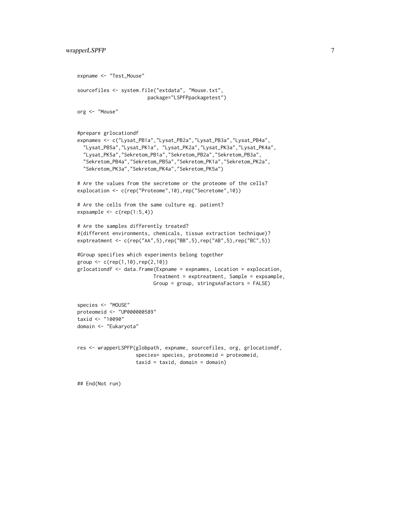```
expname <- "Test_Mouse"
sourcefiles <- system.file("extdata", "Mouse.txt",
                        package="LSPFPpackagetest")
org <- "Mouse"
#prepare grlocationdf
expnames <- c("Lysat_PB1a","Lysat_PB2a","Lysat_PB3a","Lysat_PB4a",
  "Lysat_PB5a","Lysat_PK1a", "Lysat_PK2a","Lysat_PK3a","Lysat_PK4a",
  "Lysat_PK5a","Sekretom_PB1a","Sekretom_PB2a","Sekretom_PB3a",
  "Sekretom_PB4a","Sekretom_PB5a","Sekretom_PK1a","Sekretom_PK2a",
  "Sekretom_PK3a","Sekretom_PK4a","Sekretom_PK5a")
# Are the values from the secretome or the proteome of the cells?
explocation <- c(rep("Proteome",10),rep("Secretome",10))
# Are the cells from the same culture eg. patient?
expsample \leq c(rep(1:5,4))
# Are the samples differently treated?
#(different environments, chemicals, tissue extraction technique)?
exptreatment <- c(rep("AA",5),rep("BB",5),rep("AB",5),rep("BC",5))
#Group specifies which experiments belong together
group \leq c (rep(1,10), rep(2,10))
grlocationdf <- data.frame(Expname = expnames, Location = explocation,
                          Treatment = exptreatment, Sample = expsample,
                          Group = group, stringsAsFactors = FALSE)
species <- "MOUSE"
proteomeid <- "UP000000589"
taxid <- "10090"
domain <- "Eukaryota"
res <- wrapperLSPFP(globpath, expname, sourcefiles, org, grlocationdf,
                    species= species, proteomeid = proteomeid,
                    taxid = taxid, domain = domain)
```
## End(Not run)